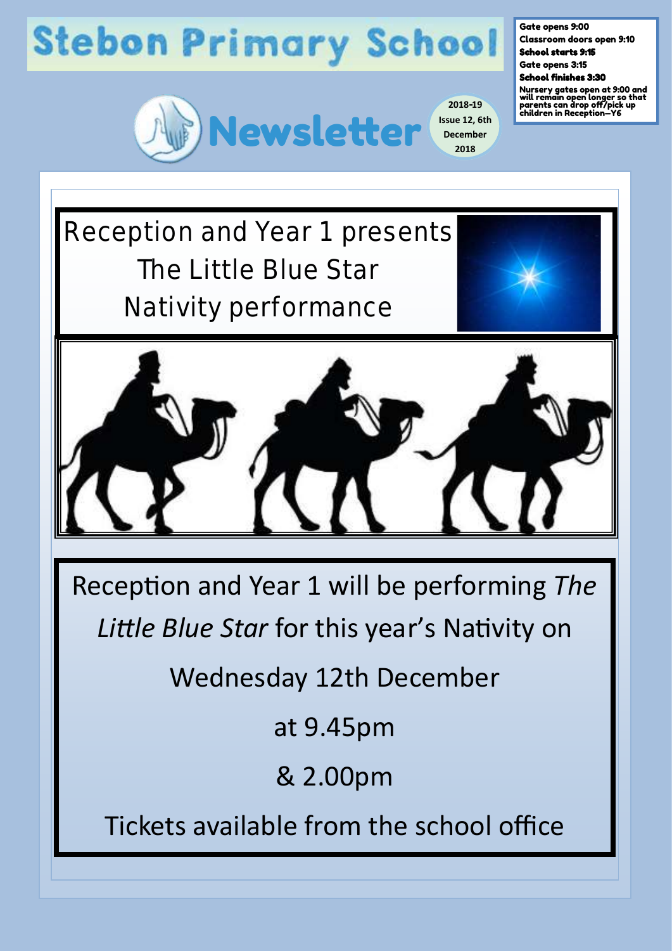

**2018-19 Issue 12, 6th December 2018**

Gate opens 9:00

Classroom doors open 9:10 School starts 9:15

Gate opens 3:15

School finishes 3:30

Nursery gates open at 9:00 and will remain open longer so that parents can drop off/pick up children in Reception—Y6

Reception and Year 1 presents The Little Blue Star Nativity performance





Reception and Year 1 will be performing *The* 

*Little Blue Star* for this year's Nativity on

Wednesday 12th December

at 9.45pm

& 2.00pm

Tickets available from the school office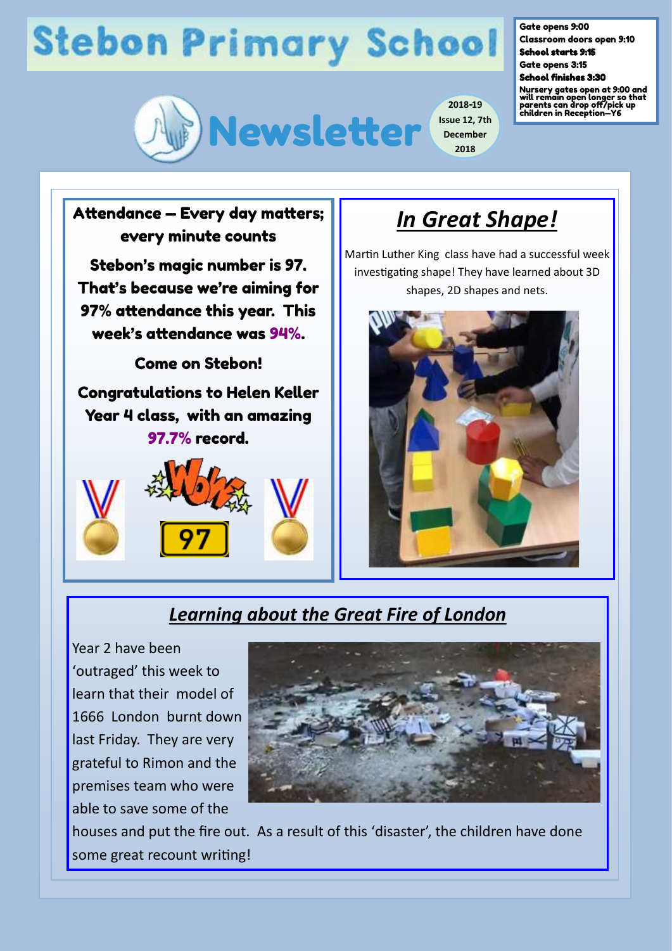

**2018-19 Issue 12, 7th December 2018**

Gate opens 9:00

Classroom doors open 9:10 School starts 9:15

Gate opens 3:15 School finishes 3:30

Nursery gates open at 9:00 and will remain open longer so that parents can drop off/pick up children in Reception—Y6





### *In Great Shape!*

Martin Luther King class have had a successful week investigating shape! They have learned about 3D shapes, 2D shapes and nets.



### *Learning about the Great Fire of London*

Year 2 have been 'outraged' this week to learn that their model of 1666 London burnt down last Friday. They are very grateful to Rimon and the premises team who were able to save some of the



houses and put the fire out. As a result of this 'disaster', the children have done some great recount writing!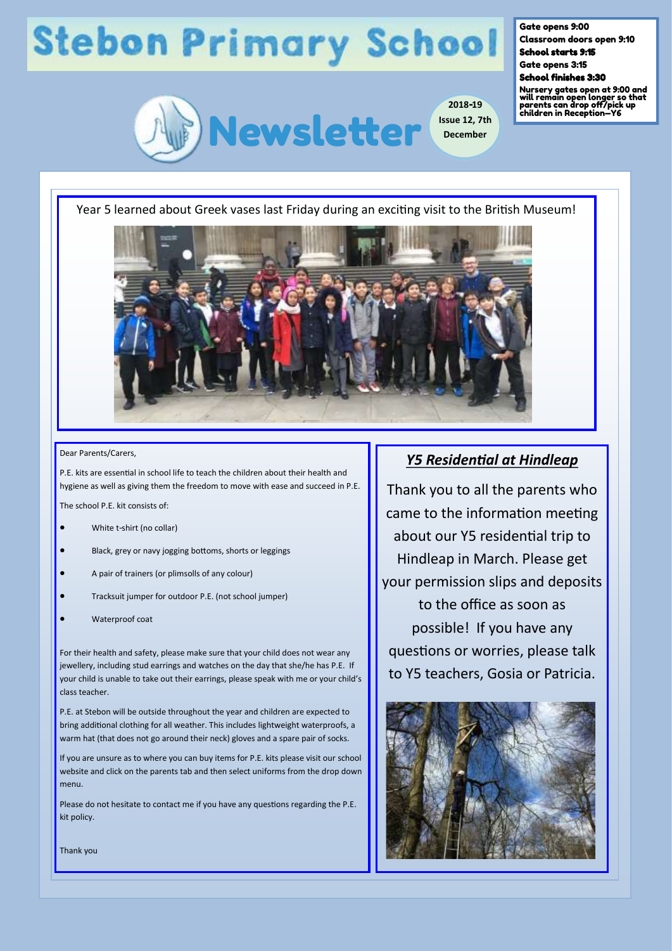

**2018-19 Issue 12, 7th December**

#### Gate opens 9:00

Classroom doors open 9:10 School starts 9:15

Gate opens 3:15

#### School finishes 3:30

Nursery gates open at 9:00 and will remain open longer so that parents can drop off/pick up children in Reception—Y6

Year 5 learned about Greek vases last Friday during an exciting visit to the British Museum!



#### Dear Parents/Carers,

P.E. kits are essential in school life to teach the children about their health and hygiene as well as giving them the freedom to move with ease and succeed in P.E.

The school P.F. kit consists of:

- White t-shirt (no collar)
- Black, grey or navy jogging bottoms, shorts or leggings
- A pair of trainers (or plimsolls of any colour)
- Tracksuit jumper for outdoor P.E. (not school jumper)
- Waterproof coat

For their health and safety, please make sure that your child does not wear any jewellery, including stud earrings and watches on the day that she/he has P.E. If your child is unable to take out their earrings, please speak with me or your child's class teacher.

P.E. at Stebon will be outside throughout the year and children are expected to bring additional clothing for all weather. This includes lightweight waterproofs, a warm hat (that does not go around their neck) gloves and a spare pair of socks.

If you are unsure as to where you can buy items for P.E. kits please visit our school website and click on the parents tab and then select uniforms from the drop down menu.

Please do not hesitate to contact me if you have any questions regarding the P.E. kit policy.

#### *Y5 Residential at Hindleap*

Thank you to all the parents who came to the information meeting about our Y5 residential trip to Hindleap in March. Please get your permission slips and deposits to the office as soon as possible! If you have any questions or worries, please talk to Y5 teachers, Gosia or Patricia.



Thank you